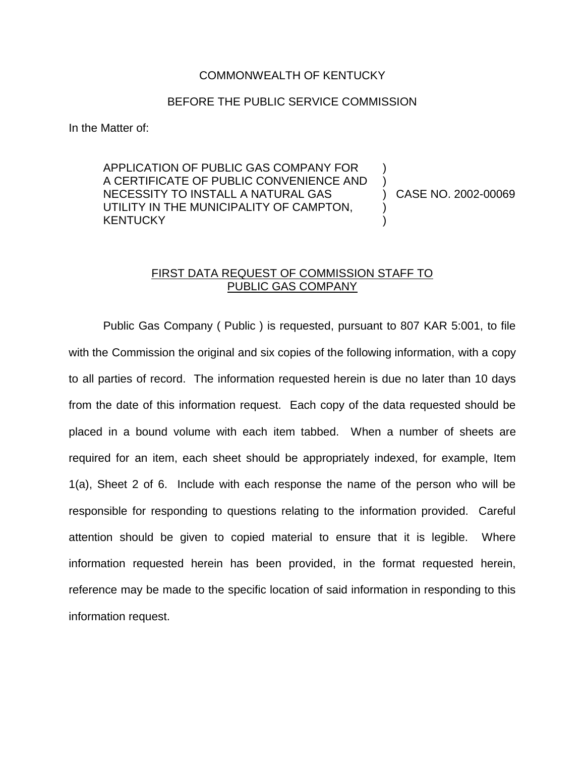## COMMONWEALTH OF KENTUCKY

## BEFORE THE PUBLIC SERVICE COMMISSION

In the Matter of:

APPLICATION OF PUBLIC GAS COMPANY FOR A CERTIFICATE OF PUBLIC CONVENIENCE AND NECESSITY TO INSTALL A NATURAL GAS UTILITY IN THE MUNICIPALITY OF CAMPTON, **KENTUCKY** 

) CASE NO. 2002-00069

) )

) )

## FIRST DATA REQUEST OF COMMISSION STAFF TO PUBLIC GAS COMPANY

Public Gas Company ( Public ) is requested, pursuant to 807 KAR 5:001, to file with the Commission the original and six copies of the following information, with a copy to all parties of record. The information requested herein is due no later than 10 days from the date of this information request. Each copy of the data requested should be placed in a bound volume with each item tabbed. When a number of sheets are required for an item, each sheet should be appropriately indexed, for example, Item 1(a), Sheet 2 of 6. Include with each response the name of the person who will be responsible for responding to questions relating to the information provided. Careful attention should be given to copied material to ensure that it is legible. Where information requested herein has been provided, in the format requested herein, reference may be made to the specific location of said information in responding to this information request.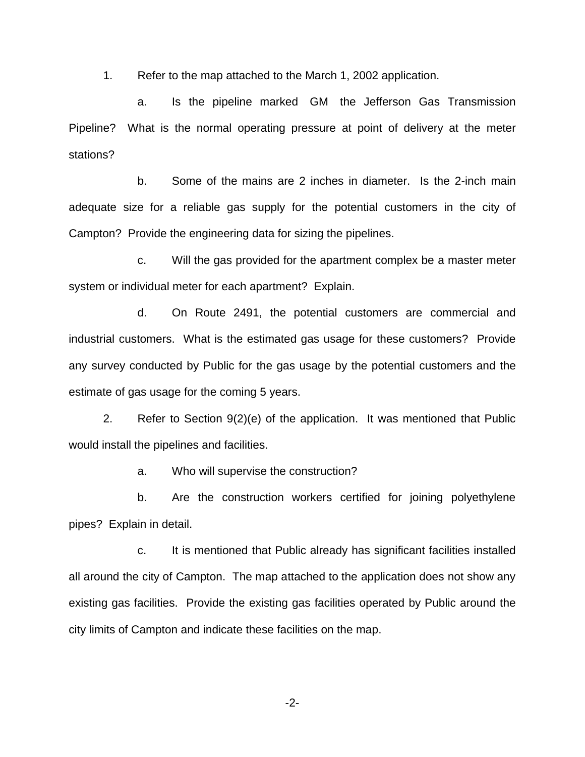1. Refer to the map attached to the March 1, 2002 application.

a. Is the pipeline marked GM the Jefferson Gas Transmission Pipeline? What is the normal operating pressure at point of delivery at the meter stations?

b. Some of the mains are 2 inches in diameter. Is the 2-inch main adequate size for a reliable gas supply for the potential customers in the city of Campton? Provide the engineering data for sizing the pipelines.

c. Will the gas provided for the apartment complex be a master meter system or individual meter for each apartment? Explain.

d. On Route 2491, the potential customers are commercial and industrial customers. What is the estimated gas usage for these customers? Provide any survey conducted by Public for the gas usage by the potential customers and the estimate of gas usage for the coming 5 years.

2. Refer to Section 9(2)(e) of the application. It was mentioned that Public would install the pipelines and facilities.

a. Who will supervise the construction?

b. Are the construction workers certified for joining polyethylene pipes? Explain in detail.

c. It is mentioned that Public already has significant facilities installed all around the city of Campton. The map attached to the application does not show any existing gas facilities. Provide the existing gas facilities operated by Public around the city limits of Campton and indicate these facilities on the map.

-2-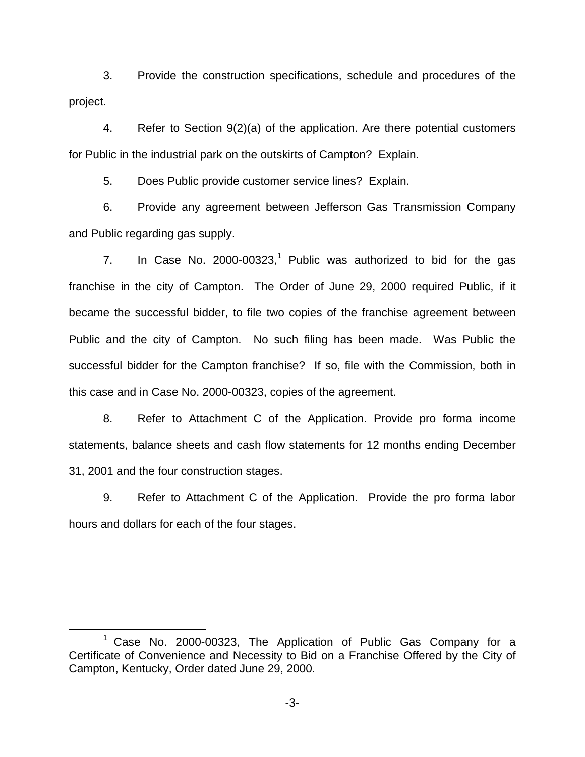3. Provide the construction specifications, schedule and procedures of the project.

4. Refer to Section 9(2)(a) of the application. Are there potential customers for Public in the industrial park on the outskirts of Campton? Explain.

5. Does Public provide customer service lines? Explain.

6. Provide any agreement between Jefferson Gas Transmission Company and Public regarding gas supply.

7. In Case No.  $2000-00323$ ,<sup>1</sup> Public was authorized to bid for the gas franchise in the city of Campton. The Order of June 29, 2000 required Public, if it became the successful bidder, to file two copies of the franchise agreement between Public and the city of Campton. No such filing has been made. Was Public the successful bidder for the Campton franchise? If so, file with the Commission, both in this case and in Case No. 2000-00323, copies of the agreement.

8. Refer to Attachment C of the Application. Provide pro forma income statements, balance sheets and cash flow statements for 12 months ending December 31, 2001 and the four construction stages.

9. Refer to Attachment C of the Application. Provide the pro forma labor hours and dollars for each of the four stages.

 $1$  Case No. 2000-00323, The Application of Public Gas Company for a Certificate of Convenience and Necessity to Bid on a Franchise Offered by the City of Campton, Kentucky, Order dated June 29, 2000.